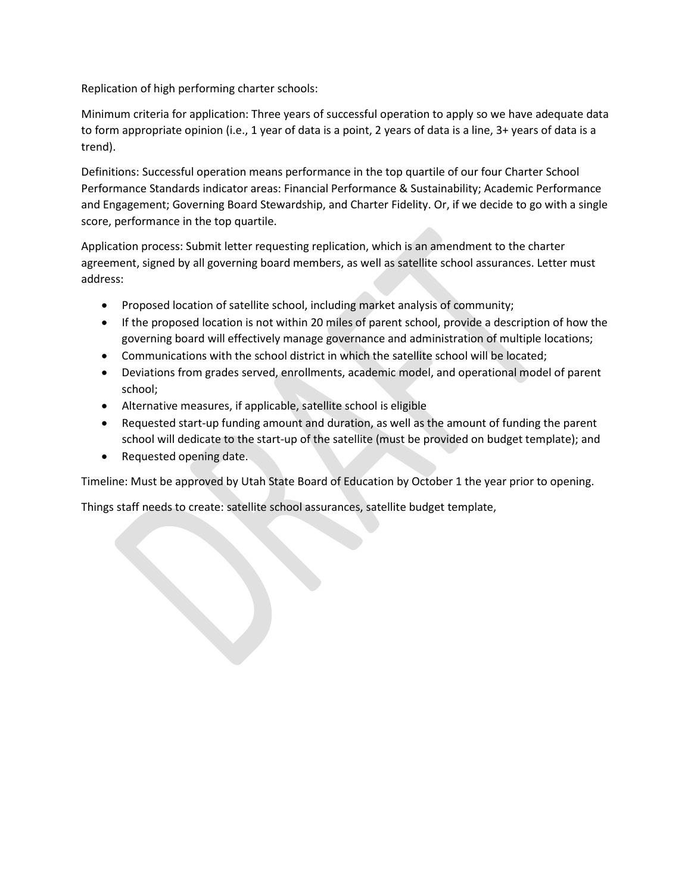Replication of high performing charter schools:

Minimum criteria for application: Three years of successful operation to apply so we have adequate data to form appropriate opinion (i.e., 1 year of data is a point, 2 years of data is a line, 3+ years of data is a trend).

Definitions: Successful operation means performance in the top quartile of our four Charter School Performance Standards indicator areas: Financial Performance & Sustainability; Academic Performance and Engagement; Governing Board Stewardship, and Charter Fidelity. Or, if we decide to go with a single score, performance in the top quartile.

Application process: Submit letter requesting replication, which is an amendment to the charter agreement, signed by all governing board members, as well as satellite school assurances. Letter must address:

- Proposed location of satellite school, including market analysis of community;
- If the proposed location is not within 20 miles of parent school, provide a description of how the governing board will effectively manage governance and administration of multiple locations;
- Communications with the school district in which the satellite school will be located;
- Deviations from grades served, enrollments, academic model, and operational model of parent school;
- Alternative measures, if applicable, satellite school is eligible
- Requested start-up funding amount and duration, as well as the amount of funding the parent school will dedicate to the start-up of the satellite (must be provided on budget template); and
- Requested opening date.

Timeline: Must be approved by Utah State Board of Education by October 1 the year prior to opening.

Things staff needs to create: satellite school assurances, satellite budget template,